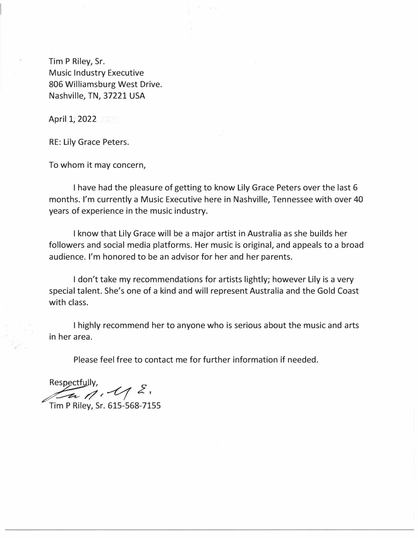Tim P Riley, Sr. Music Industry Executive 806 Williamsburg West Drive. Nashville, TN, 37221 USA

April 1, 2022

RE: Lily Grace Peters.

To whom it may concern,

I have had the pleasure of getting to know Lily Grace Peters over the last 6 months. I'm currently a Music Executive here in Nashville, Tennessee with over 40 years of experience in the music industry.

I know that Lily Grace will be a major artist in Australia as she builds her followers and social media platforms. Her music is original, and appeals to a broad audience. I'm honored to be an advisor for her and her parents.

I don't take my recommendations for artists lightly; however Lily is a very special talent. She's one of a kind and will represent Australia and the Gold Coast with class.

I highly recommend her to anyone who is serious about the music and arts in her area.

Please feel free to contact me for further information if needed.

Respectfully, *�//r-v( <sup>Z</sup>*

Tim P Riley, Sr. 615-568-7155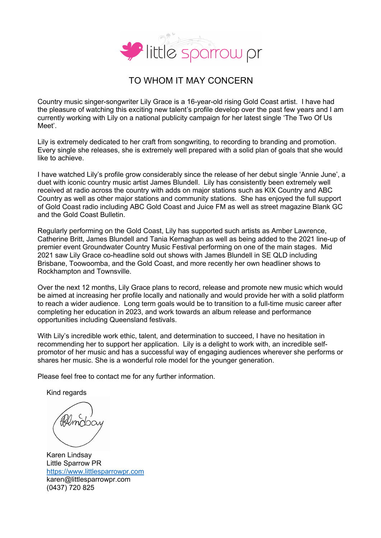

## TO WHOM IT MAY CONCERN

Country music singer-songwriter Lily Grace is a 16-year-old rising Gold Coast artist. I have had the pleasure of watching this exciting new talent's profile develop over the past few years and I am currently working with Lily on a national publicity campaign for her latest single 'The Two Of Us Meet'.

Lily is extremely dedicated to her craft from songwriting, to recording to branding and promotion. Every single she releases, she is extremely well prepared with a solid plan of goals that she would like to achieve.

I have watched Lily's profile grow considerably since the release of her debut single 'Annie June', a duet with iconic country music artist James Blundell. Lily has consistently been extremely well received at radio across the country with adds on major stations such as KIX Country and ABC Country as well as other major stations and community stations. She has enjoyed the full support of Gold Coast radio including ABC Gold Coast and Juice FM as well as street magazine Blank GC and the Gold Coast Bulletin.

Regularly performing on the Gold Coast, Lily has supported such artists as Amber Lawrence, Catherine Britt, James Blundell and Tania Kernaghan as well as being added to the 2021 line-up of premier event Groundwater Country Music Festival performing on one of the main stages. Mid 2021 saw Lily Grace co-headline sold out shows with James Blundell in SE QLD including Brisbane, Toowoomba, and the Gold Coast, and more recently her own headliner shows to Rockhampton and Townsville.

Over the next 12 months, Lily Grace plans to record, release and promote new music which would be aimed at increasing her profile locally and nationally and would provide her with a solid platform to reach a wider audience. Long term goals would be to transition to a full-time music career after completing her education in 2023, and work towards an album release and performance opportunities including Queensland festivals.

With Lily's incredible work ethic, talent, and determination to succeed, I have no hesitation in recommending her to support her application. Lily is a delight to work with, an incredible selfpromotor of her music and has a successful way of engaging audiences wherever she performs or shares her music. She is a wonderful role model for the younger generation.

Please feel free to contact me for any further information.

Kind regards

mabay

Karen Lindsay Little Sparrow PR https://www.littlesparrowpr.com karen@littlesparrowpr.com (0437) 720 825